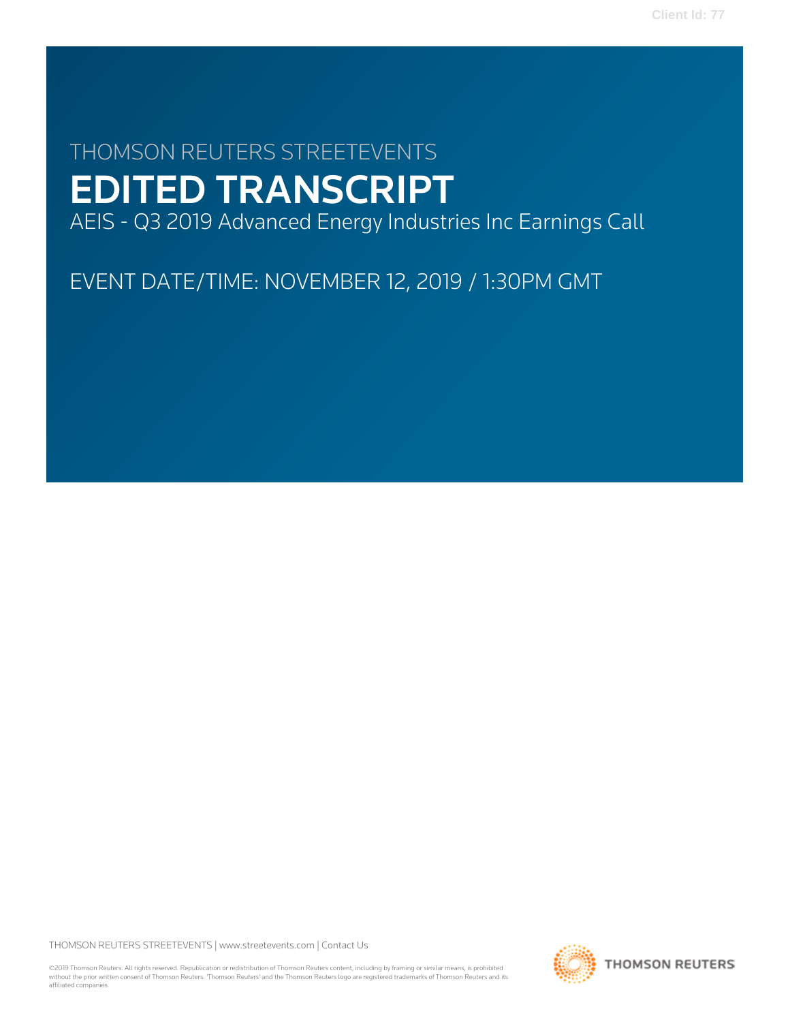# THOMSON REUTERS STREETEVENTS EDITED TRANSCRIPT

AEIS - Q3 2019 Advanced Energy Industries Inc Earnings Call

EVENT DATE/TIME: NOVEMBER 12, 2019 / 1:30PM GMT

THOMSON REUTERS STREETEVENTS | www.streetevents.com | Contact Us

©2019 Thomson Reuters. All rights reserved. Republication or redistribution of Thomson Reuters content, including by framing or similar means, is prohibited without the prior written consent of Thomson Reuters. 'Thomson Reuters' and the Thomson Reuters logo are registered trademarks of Thomson Reuters and its affiliated companies.

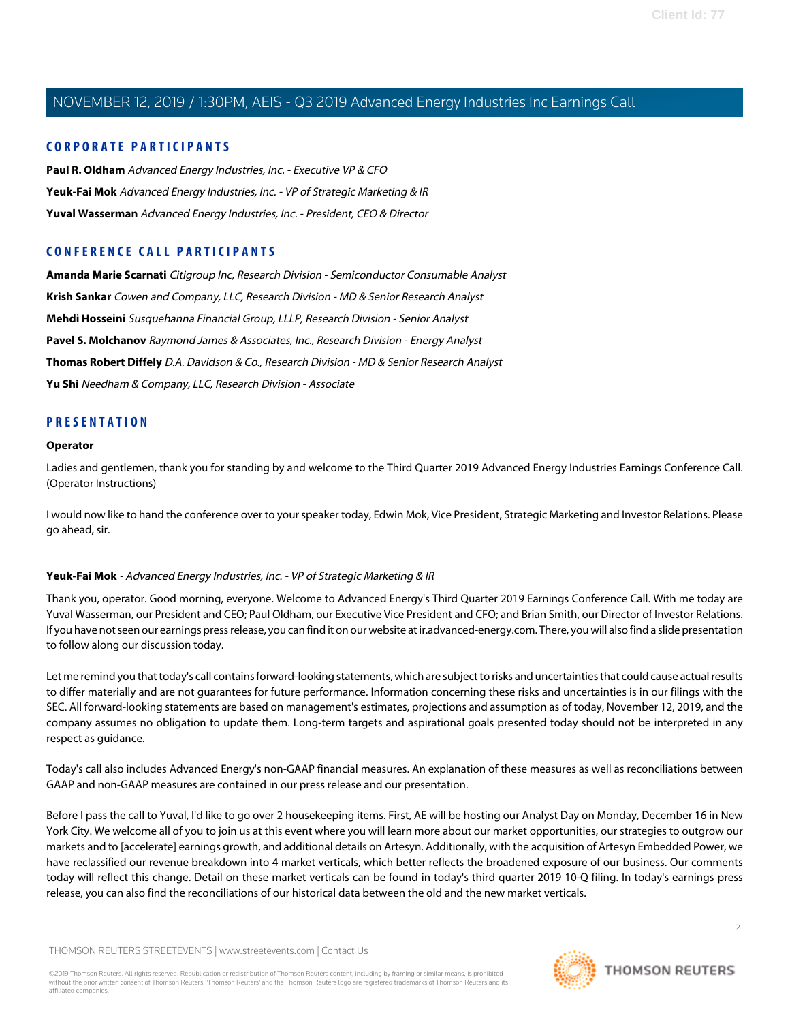### **CORPORATE PARTICIPANTS**

**Paul R. Oldham** Advanced Energy Industries, Inc. - Executive VP & CFO **Yeuk-Fai Mok** Advanced Energy Industries, Inc. - VP of Strategic Marketing & IR **Yuval Wasserman** Advanced Energy Industries, Inc. - President, CEO & Director

### **CONFERENCE CALL PARTICIPANTS**

**Amanda Marie Scarnati** Citigroup Inc, Research Division - Semiconductor Consumable Analyst **Krish Sankar** Cowen and Company, LLC, Research Division - MD & Senior Research Analyst **Mehdi Hosseini** Susquehanna Financial Group, LLLP, Research Division - Senior Analyst **Pavel S. Molchanov** Raymond James & Associates, Inc., Research Division - Energy Analyst **Thomas Robert Diffely** D.A. Davidson & Co., Research Division - MD & Senior Research Analyst **Yu Shi** Needham & Company, LLC, Research Division - Associate

### **PRESENTATION**

### **Operator**

Ladies and gentlemen, thank you for standing by and welcome to the Third Quarter 2019 Advanced Energy Industries Earnings Conference Call. (Operator Instructions)

I would now like to hand the conference over to your speaker today, Edwin Mok, Vice President, Strategic Marketing and Investor Relations. Please go ahead, sir.

### **Yeuk-Fai Mok** - Advanced Energy Industries, Inc. - VP of Strategic Marketing & IR

Thank you, operator. Good morning, everyone. Welcome to Advanced Energy's Third Quarter 2019 Earnings Conference Call. With me today are Yuval Wasserman, our President and CEO; Paul Oldham, our Executive Vice President and CFO; and Brian Smith, our Director of Investor Relations. If you have not seen our earnings press release, you can find it on our website at ir.advanced-energy.com. There, you will also find a slide presentation to follow along our discussion today.

Let me remind you that today's call contains forward-looking statements, which are subject to risks and uncertainties that could cause actual results to differ materially and are not guarantees for future performance. Information concerning these risks and uncertainties is in our filings with the SEC. All forward-looking statements are based on management's estimates, projections and assumption as of today, November 12, 2019, and the company assumes no obligation to update them. Long-term targets and aspirational goals presented today should not be interpreted in any respect as guidance.

Today's call also includes Advanced Energy's non-GAAP financial measures. An explanation of these measures as well as reconciliations between GAAP and non-GAAP measures are contained in our press release and our presentation.

Before I pass the call to Yuval, I'd like to go over 2 housekeeping items. First, AE will be hosting our Analyst Day on Monday, December 16 in New York City. We welcome all of you to join us at this event where you will learn more about our market opportunities, our strategies to outgrow our markets and to [accelerate] earnings growth, and additional details on Artesyn. Additionally, with the acquisition of Artesyn Embedded Power, we have reclassified our revenue breakdown into 4 market verticals, which better reflects the broadened exposure of our business. Our comments today will reflect this change. Detail on these market verticals can be found in today's third quarter 2019 10-Q filing. In today's earnings press release, you can also find the reconciliations of our historical data between the old and the new market verticals.

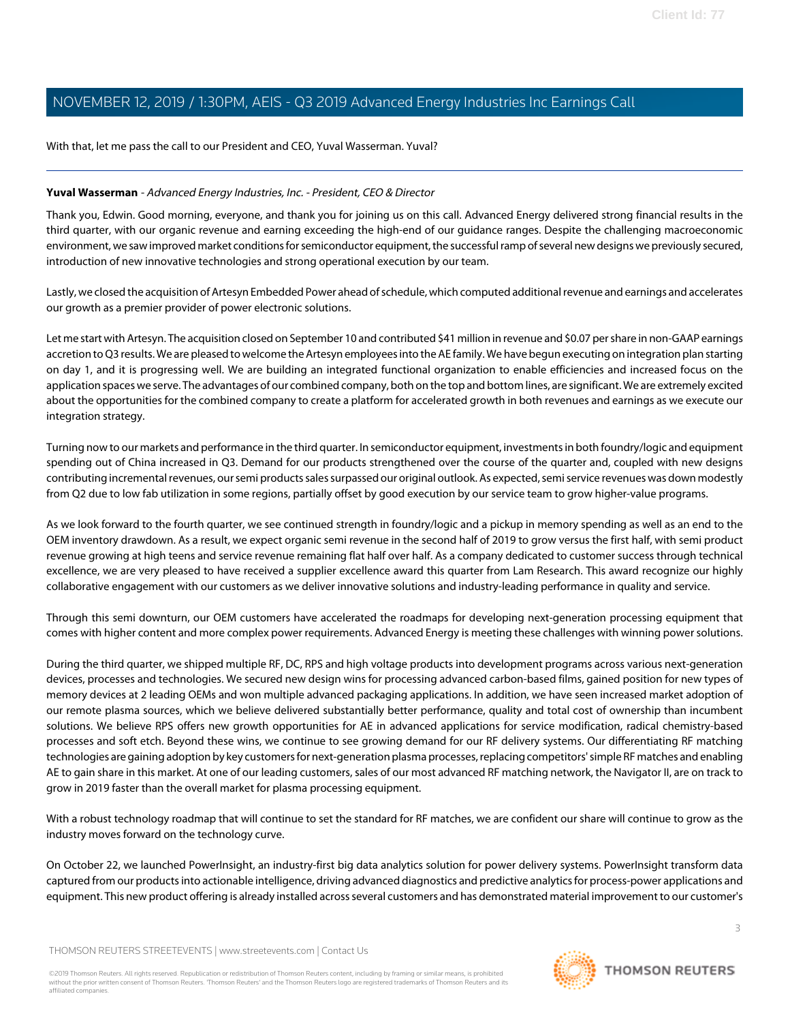With that, let me pass the call to our President and CEO, Yuval Wasserman. Yuval?

### **Yuval Wasserman** - Advanced Energy Industries, Inc. - President, CEO & Director

Thank you, Edwin. Good morning, everyone, and thank you for joining us on this call. Advanced Energy delivered strong financial results in the third quarter, with our organic revenue and earning exceeding the high-end of our guidance ranges. Despite the challenging macroeconomic environment, we saw improved market conditions for semiconductor equipment, the successful ramp of several new designs we previously secured, introduction of new innovative technologies and strong operational execution by our team.

Lastly, we closed the acquisition of Artesyn Embedded Power ahead of schedule, which computed additional revenue and earnings and accelerates our growth as a premier provider of power electronic solutions.

Let me start with Artesyn. The acquisition closed on September 10 and contributed \$41 million in revenue and \$0.07 per share in non-GAAP earnings accretion to Q3 results. We are pleased to welcome the Artesyn employees into the AE family. We have begun executing on integration plan starting on day 1, and it is progressing well. We are building an integrated functional organization to enable efficiencies and increased focus on the application spaces we serve. The advantages of our combined company, both on the top and bottom lines, are significant. We are extremely excited about the opportunities for the combined company to create a platform for accelerated growth in both revenues and earnings as we execute our integration strategy.

Turning now to our markets and performance in the third quarter. In semiconductor equipment, investments in both foundry/logic and equipment spending out of China increased in Q3. Demand for our products strengthened over the course of the quarter and, coupled with new designs contributing incremental revenues, our semi products sales surpassed our original outlook. As expected, semi service revenues was down modestly from Q2 due to low fab utilization in some regions, partially offset by good execution by our service team to grow higher-value programs.

As we look forward to the fourth quarter, we see continued strength in foundry/logic and a pickup in memory spending as well as an end to the OEM inventory drawdown. As a result, we expect organic semi revenue in the second half of 2019 to grow versus the first half, with semi product revenue growing at high teens and service revenue remaining flat half over half. As a company dedicated to customer success through technical excellence, we are very pleased to have received a supplier excellence award this quarter from Lam Research. This award recognize our highly collaborative engagement with our customers as we deliver innovative solutions and industry-leading performance in quality and service.

Through this semi downturn, our OEM customers have accelerated the roadmaps for developing next-generation processing equipment that comes with higher content and more complex power requirements. Advanced Energy is meeting these challenges with winning power solutions.

During the third quarter, we shipped multiple RF, DC, RPS and high voltage products into development programs across various next-generation devices, processes and technologies. We secured new design wins for processing advanced carbon-based films, gained position for new types of memory devices at 2 leading OEMs and won multiple advanced packaging applications. In addition, we have seen increased market adoption of our remote plasma sources, which we believe delivered substantially better performance, quality and total cost of ownership than incumbent solutions. We believe RPS offers new growth opportunities for AE in advanced applications for service modification, radical chemistry-based processes and soft etch. Beyond these wins, we continue to see growing demand for our RF delivery systems. Our differentiating RF matching technologies are gaining adoption by key customers for next-generation plasma processes, replacing competitors' simple RF matches and enabling AE to gain share in this market. At one of our leading customers, sales of our most advanced RF matching network, the Navigator II, are on track to grow in 2019 faster than the overall market for plasma processing equipment.

With a robust technology roadmap that will continue to set the standard for RF matches, we are confident our share will continue to grow as the industry moves forward on the technology curve.

On October 22, we launched PowerInsight, an industry-first big data analytics solution for power delivery systems. PowerInsight transform data captured from our products into actionable intelligence, driving advanced diagnostics and predictive analytics for process-power applications and equipment. This new product offering is already installed across several customers and has demonstrated material improvement to our customer's

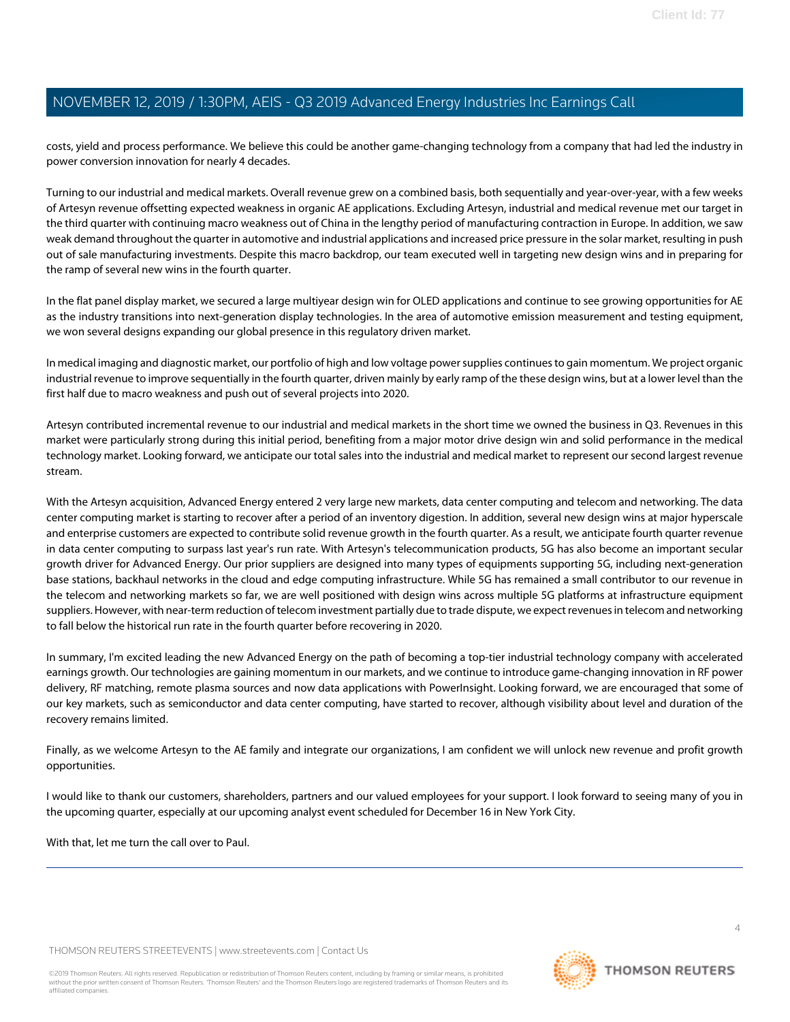costs, yield and process performance. We believe this could be another game-changing technology from a company that had led the industry in power conversion innovation for nearly 4 decades.

Turning to our industrial and medical markets. Overall revenue grew on a combined basis, both sequentially and year-over-year, with a few weeks of Artesyn revenue offsetting expected weakness in organic AE applications. Excluding Artesyn, industrial and medical revenue met our target in the third quarter with continuing macro weakness out of China in the lengthy period of manufacturing contraction in Europe. In addition, we saw weak demand throughout the quarter in automotive and industrial applications and increased price pressure in the solar market, resulting in push out of sale manufacturing investments. Despite this macro backdrop, our team executed well in targeting new design wins and in preparing for the ramp of several new wins in the fourth quarter.

In the flat panel display market, we secured a large multiyear design win for OLED applications and continue to see growing opportunities for AE as the industry transitions into next-generation display technologies. In the area of automotive emission measurement and testing equipment, we won several designs expanding our global presence in this regulatory driven market.

In medical imaging and diagnostic market, our portfolio of high and low voltage power supplies continues to gain momentum. We project organic industrial revenue to improve sequentially in the fourth quarter, driven mainly by early ramp of the these design wins, but at a lower level than the first half due to macro weakness and push out of several projects into 2020.

Artesyn contributed incremental revenue to our industrial and medical markets in the short time we owned the business in Q3. Revenues in this market were particularly strong during this initial period, benefiting from a major motor drive design win and solid performance in the medical technology market. Looking forward, we anticipate our total sales into the industrial and medical market to represent our second largest revenue stream.

With the Artesyn acquisition, Advanced Energy entered 2 very large new markets, data center computing and telecom and networking. The data center computing market is starting to recover after a period of an inventory digestion. In addition, several new design wins at major hyperscale and enterprise customers are expected to contribute solid revenue growth in the fourth quarter. As a result, we anticipate fourth quarter revenue in data center computing to surpass last year's run rate. With Artesyn's telecommunication products, 5G has also become an important secular growth driver for Advanced Energy. Our prior suppliers are designed into many types of equipments supporting 5G, including next-generation base stations, backhaul networks in the cloud and edge computing infrastructure. While 5G has remained a small contributor to our revenue in the telecom and networking markets so far, we are well positioned with design wins across multiple 5G platforms at infrastructure equipment suppliers. However, with near-term reduction of telecom investment partially due to trade dispute, we expect revenues in telecom and networking to fall below the historical run rate in the fourth quarter before recovering in 2020.

In summary, I'm excited leading the new Advanced Energy on the path of becoming a top-tier industrial technology company with accelerated earnings growth. Our technologies are gaining momentum in our markets, and we continue to introduce game-changing innovation in RF power delivery, RF matching, remote plasma sources and now data applications with PowerInsight. Looking forward, we are encouraged that some of our key markets, such as semiconductor and data center computing, have started to recover, although visibility about level and duration of the recovery remains limited.

Finally, as we welcome Artesyn to the AE family and integrate our organizations, I am confident we will unlock new revenue and profit growth opportunities.

I would like to thank our customers, shareholders, partners and our valued employees for your support. I look forward to seeing many of you in the upcoming quarter, especially at our upcoming analyst event scheduled for December 16 in New York City.

With that, let me turn the call over to Paul.

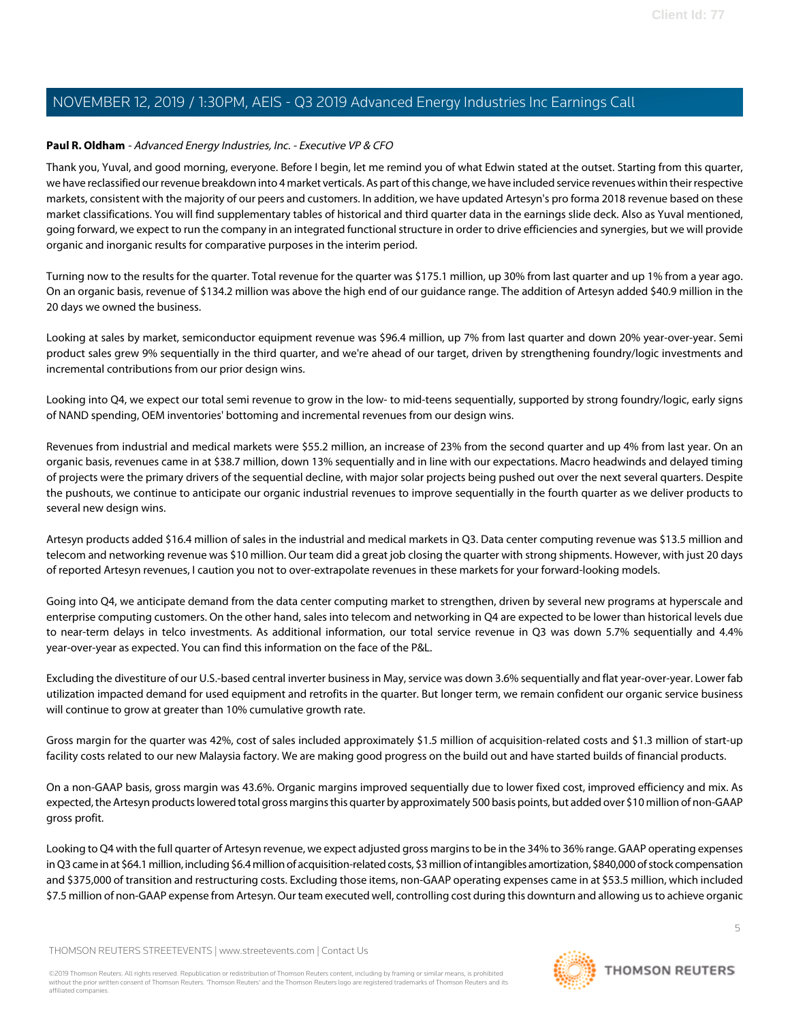### **Paul R. Oldham** - Advanced Energy Industries, Inc. - Executive VP & CFO

Thank you, Yuval, and good morning, everyone. Before I begin, let me remind you of what Edwin stated at the outset. Starting from this quarter, we have reclassified our revenue breakdown into 4 market verticals. As part of this change, we have included service revenues within their respective markets, consistent with the majority of our peers and customers. In addition, we have updated Artesyn's pro forma 2018 revenue based on these market classifications. You will find supplementary tables of historical and third quarter data in the earnings slide deck. Also as Yuval mentioned, going forward, we expect to run the company in an integrated functional structure in order to drive efficiencies and synergies, but we will provide organic and inorganic results for comparative purposes in the interim period.

Turning now to the results for the quarter. Total revenue for the quarter was \$175.1 million, up 30% from last quarter and up 1% from a year ago. On an organic basis, revenue of \$134.2 million was above the high end of our guidance range. The addition of Artesyn added \$40.9 million in the 20 days we owned the business.

Looking at sales by market, semiconductor equipment revenue was \$96.4 million, up 7% from last quarter and down 20% year-over-year. Semi product sales grew 9% sequentially in the third quarter, and we're ahead of our target, driven by strengthening foundry/logic investments and incremental contributions from our prior design wins.

Looking into Q4, we expect our total semi revenue to grow in the low- to mid-teens sequentially, supported by strong foundry/logic, early signs of NAND spending, OEM inventories' bottoming and incremental revenues from our design wins.

Revenues from industrial and medical markets were \$55.2 million, an increase of 23% from the second quarter and up 4% from last year. On an organic basis, revenues came in at \$38.7 million, down 13% sequentially and in line with our expectations. Macro headwinds and delayed timing of projects were the primary drivers of the sequential decline, with major solar projects being pushed out over the next several quarters. Despite the pushouts, we continue to anticipate our organic industrial revenues to improve sequentially in the fourth quarter as we deliver products to several new design wins.

Artesyn products added \$16.4 million of sales in the industrial and medical markets in Q3. Data center computing revenue was \$13.5 million and telecom and networking revenue was \$10 million. Our team did a great job closing the quarter with strong shipments. However, with just 20 days of reported Artesyn revenues, I caution you not to over-extrapolate revenues in these markets for your forward-looking models.

Going into Q4, we anticipate demand from the data center computing market to strengthen, driven by several new programs at hyperscale and enterprise computing customers. On the other hand, sales into telecom and networking in Q4 are expected to be lower than historical levels due to near-term delays in telco investments. As additional information, our total service revenue in Q3 was down 5.7% sequentially and 4.4% year-over-year as expected. You can find this information on the face of the P&L.

Excluding the divestiture of our U.S.-based central inverter business in May, service was down 3.6% sequentially and flat year-over-year. Lower fab utilization impacted demand for used equipment and retrofits in the quarter. But longer term, we remain confident our organic service business will continue to grow at greater than 10% cumulative growth rate.

Gross margin for the quarter was 42%, cost of sales included approximately \$1.5 million of acquisition-related costs and \$1.3 million of start-up facility costs related to our new Malaysia factory. We are making good progress on the build out and have started builds of financial products.

On a non-GAAP basis, gross margin was 43.6%. Organic margins improved sequentially due to lower fixed cost, improved efficiency and mix. As expected, the Artesyn products lowered total gross margins this quarter by approximately 500 basis points, but added over \$10 million of non-GAAP gross profit.

Looking to Q4 with the full quarter of Artesyn revenue, we expect adjusted gross margins to be in the 34% to 36% range. GAAP operating expenses in Q3 came in at \$64.1 million, including \$6.4 million of acquisition-related costs, \$3 million of intangibles amortization, \$840,000 of stock compensation and \$375,000 of transition and restructuring costs. Excluding those items, non-GAAP operating expenses came in at \$53.5 million, which included \$7.5 million of non-GAAP expense from Artesyn. Our team executed well, controlling cost during this downturn and allowing us to achieve organic

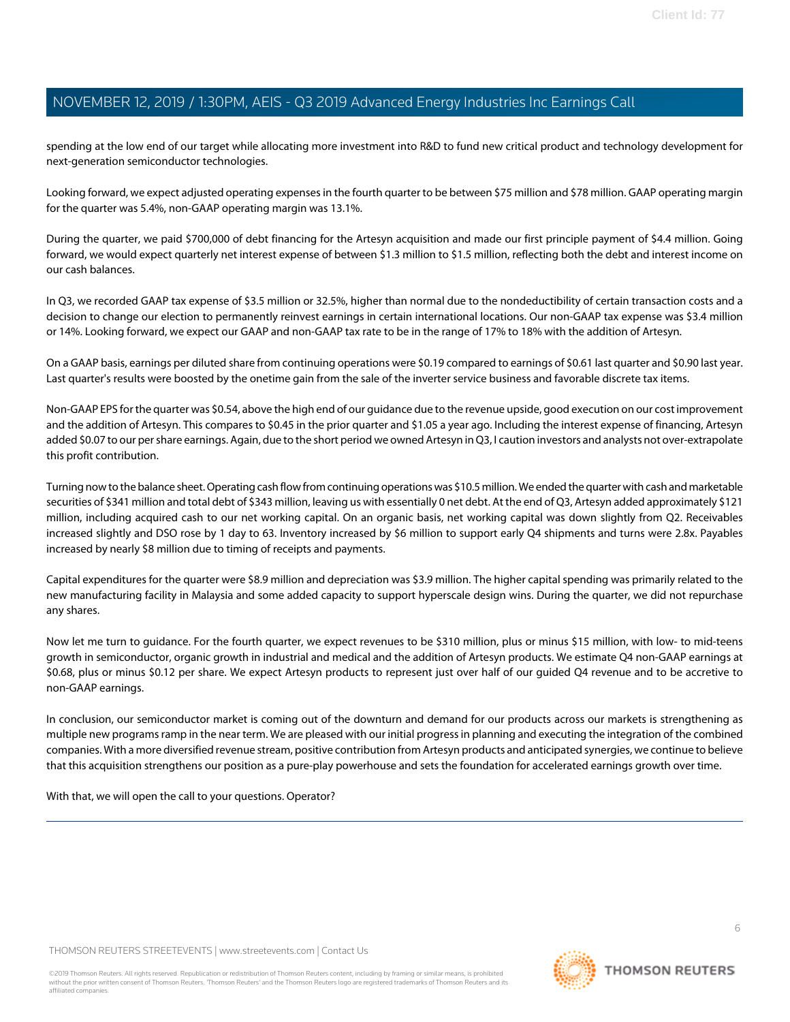spending at the low end of our target while allocating more investment into R&D to fund new critical product and technology development for next-generation semiconductor technologies.

Looking forward, we expect adjusted operating expenses in the fourth quarter to be between \$75 million and \$78 million. GAAP operating margin for the quarter was 5.4%, non-GAAP operating margin was 13.1%.

During the quarter, we paid \$700,000 of debt financing for the Artesyn acquisition and made our first principle payment of \$4.4 million. Going forward, we would expect quarterly net interest expense of between \$1.3 million to \$1.5 million, reflecting both the debt and interest income on our cash balances.

In Q3, we recorded GAAP tax expense of \$3.5 million or 32.5%, higher than normal due to the nondeductibility of certain transaction costs and a decision to change our election to permanently reinvest earnings in certain international locations. Our non-GAAP tax expense was \$3.4 million or 14%. Looking forward, we expect our GAAP and non-GAAP tax rate to be in the range of 17% to 18% with the addition of Artesyn.

On a GAAP basis, earnings per diluted share from continuing operations were \$0.19 compared to earnings of \$0.61 last quarter and \$0.90 last year. Last quarter's results were boosted by the onetime gain from the sale of the inverter service business and favorable discrete tax items.

Non-GAAP EPS for the quarter was \$0.54, above the high end of our guidance due to the revenue upside, good execution on our cost improvement and the addition of Artesyn. This compares to \$0.45 in the prior quarter and \$1.05 a year ago. Including the interest expense of financing, Artesyn added \$0.07 to our per share earnings. Again, due to the short period we owned Artesyn in Q3, I caution investors and analysts not over-extrapolate this profit contribution.

Turning now to the balance sheet. Operating cash flow from continuing operations was \$10.5 million. We ended the quarter with cash and marketable securities of \$341 million and total debt of \$343 million, leaving us with essentially 0 net debt. At the end of Q3, Artesyn added approximately \$121 million, including acquired cash to our net working capital. On an organic basis, net working capital was down slightly from Q2. Receivables increased slightly and DSO rose by 1 day to 63. Inventory increased by \$6 million to support early Q4 shipments and turns were 2.8x. Payables increased by nearly \$8 million due to timing of receipts and payments.

Capital expenditures for the quarter were \$8.9 million and depreciation was \$3.9 million. The higher capital spending was primarily related to the new manufacturing facility in Malaysia and some added capacity to support hyperscale design wins. During the quarter, we did not repurchase any shares.

Now let me turn to guidance. For the fourth quarter, we expect revenues to be \$310 million, plus or minus \$15 million, with low- to mid-teens growth in semiconductor, organic growth in industrial and medical and the addition of Artesyn products. We estimate Q4 non-GAAP earnings at \$0.68, plus or minus \$0.12 per share. We expect Artesyn products to represent just over half of our guided Q4 revenue and to be accretive to non-GAAP earnings.

In conclusion, our semiconductor market is coming out of the downturn and demand for our products across our markets is strengthening as multiple new programs ramp in the near term. We are pleased with our initial progress in planning and executing the integration of the combined companies. With a more diversified revenue stream, positive contribution from Artesyn products and anticipated synergies, we continue to believe that this acquisition strengthens our position as a pure-play powerhouse and sets the foundation for accelerated earnings growth over time.

With that, we will open the call to your questions. Operator?

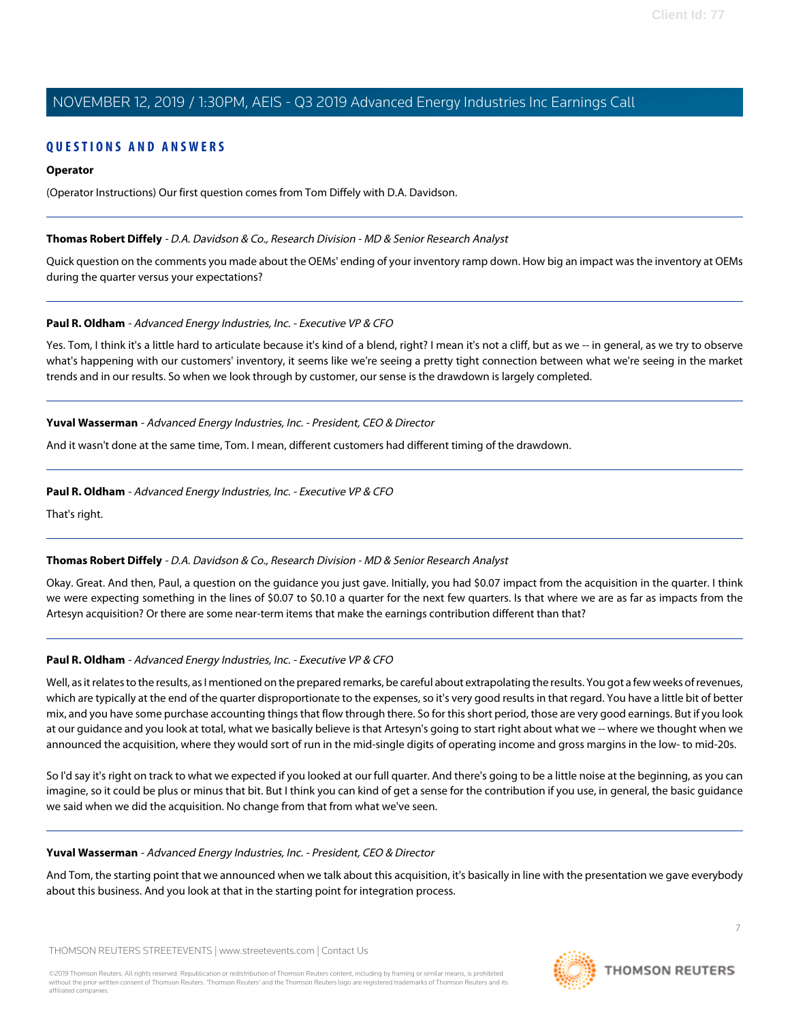### **QUESTIONS AND ANSWERS**

### **Operator**

(Operator Instructions) Our first question comes from Tom Diffely with D.A. Davidson.

#### **Thomas Robert Diffely** - D.A. Davidson & Co., Research Division - MD & Senior Research Analyst

Quick question on the comments you made about the OEMs' ending of your inventory ramp down. How big an impact was the inventory at OEMs during the quarter versus your expectations?

### **Paul R. Oldham** - Advanced Energy Industries, Inc. - Executive VP & CFO

Yes. Tom, I think it's a little hard to articulate because it's kind of a blend, right? I mean it's not a cliff, but as we -- in general, as we try to observe what's happening with our customers' inventory, it seems like we're seeing a pretty tight connection between what we're seeing in the market trends and in our results. So when we look through by customer, our sense is the drawdown is largely completed.

### **Yuval Wasserman** - Advanced Energy Industries, Inc. - President, CEO & Director

And it wasn't done at the same time, Tom. I mean, different customers had different timing of the drawdown.

#### **Paul R. Oldham** - Advanced Energy Industries, Inc. - Executive VP & CFO

That's right.

### **Thomas Robert Diffely** - D.A. Davidson & Co., Research Division - MD & Senior Research Analyst

Okay. Great. And then, Paul, a question on the guidance you just gave. Initially, you had \$0.07 impact from the acquisition in the quarter. I think we were expecting something in the lines of \$0.07 to \$0.10 a quarter for the next few quarters. Is that where we are as far as impacts from the Artesyn acquisition? Or there are some near-term items that make the earnings contribution different than that?

### **Paul R. Oldham** - Advanced Energy Industries, Inc. - Executive VP & CFO

Well, as it relates to the results, as I mentioned on the prepared remarks, be careful about extrapolating the results. You got a few weeks of revenues, which are typically at the end of the quarter disproportionate to the expenses, so it's very good results in that regard. You have a little bit of better mix, and you have some purchase accounting things that flow through there. So for this short period, those are very good earnings. But if you look at our guidance and you look at total, what we basically believe is that Artesyn's going to start right about what we -- where we thought when we announced the acquisition, where they would sort of run in the mid-single digits of operating income and gross margins in the low- to mid-20s.

So I'd say it's right on track to what we expected if you looked at our full quarter. And there's going to be a little noise at the beginning, as you can imagine, so it could be plus or minus that bit. But I think you can kind of get a sense for the contribution if you use, in general, the basic guidance we said when we did the acquisition. No change from that from what we've seen.

#### **Yuval Wasserman** - Advanced Energy Industries, Inc. - President, CEO & Director

And Tom, the starting point that we announced when we talk about this acquisition, it's basically in line with the presentation we gave everybody about this business. And you look at that in the starting point for integration process.

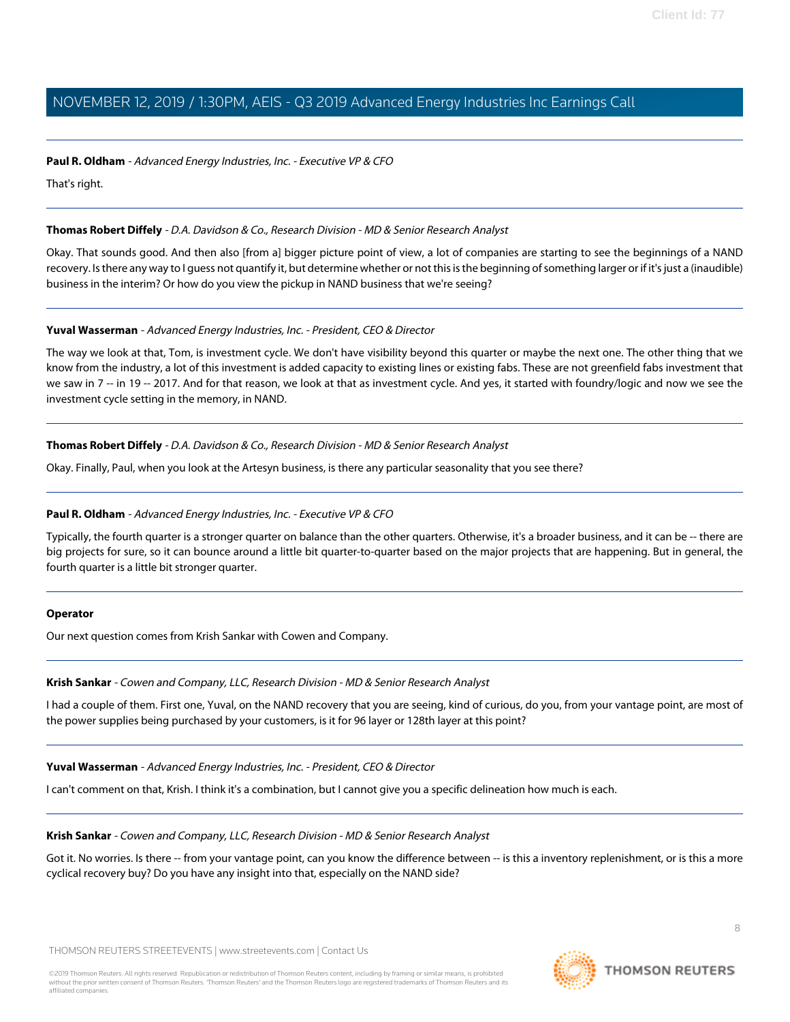### **Paul R. Oldham** - Advanced Energy Industries, Inc. - Executive VP & CFO

That's right.

### **Thomas Robert Diffely** - D.A. Davidson & Co., Research Division - MD & Senior Research Analyst

Okay. That sounds good. And then also [from a] bigger picture point of view, a lot of companies are starting to see the beginnings of a NAND recovery. Is there any way to I guess not quantify it, but determine whether or not this is the beginning of something larger or if it's just a (inaudible) business in the interim? Or how do you view the pickup in NAND business that we're seeing?

### **Yuval Wasserman** - Advanced Energy Industries, Inc. - President, CEO & Director

The way we look at that, Tom, is investment cycle. We don't have visibility beyond this quarter or maybe the next one. The other thing that we know from the industry, a lot of this investment is added capacity to existing lines or existing fabs. These are not greenfield fabs investment that we saw in 7 -- in 19 -- 2017. And for that reason, we look at that as investment cycle. And yes, it started with foundry/logic and now we see the investment cycle setting in the memory, in NAND.

### **Thomas Robert Diffely** - D.A. Davidson & Co., Research Division - MD & Senior Research Analyst

Okay. Finally, Paul, when you look at the Artesyn business, is there any particular seasonality that you see there?

### **Paul R. Oldham** - Advanced Energy Industries, Inc. - Executive VP & CFO

Typically, the fourth quarter is a stronger quarter on balance than the other quarters. Otherwise, it's a broader business, and it can be -- there are big projects for sure, so it can bounce around a little bit quarter-to-quarter based on the major projects that are happening. But in general, the fourth quarter is a little bit stronger quarter.

### **Operator**

Our next question comes from Krish Sankar with Cowen and Company.

### **Krish Sankar** - Cowen and Company, LLC, Research Division - MD & Senior Research Analyst

I had a couple of them. First one, Yuval, on the NAND recovery that you are seeing, kind of curious, do you, from your vantage point, are most of the power supplies being purchased by your customers, is it for 96 layer or 128th layer at this point?

**Yuval Wasserman** - Advanced Energy Industries, Inc. - President, CEO & Director

I can't comment on that, Krish. I think it's a combination, but I cannot give you a specific delineation how much is each.

### **Krish Sankar** - Cowen and Company, LLC, Research Division - MD & Senior Research Analyst

Got it. No worries. Is there -- from your vantage point, can you know the difference between -- is this a inventory replenishment, or is this a more cyclical recovery buy? Do you have any insight into that, especially on the NAND side?

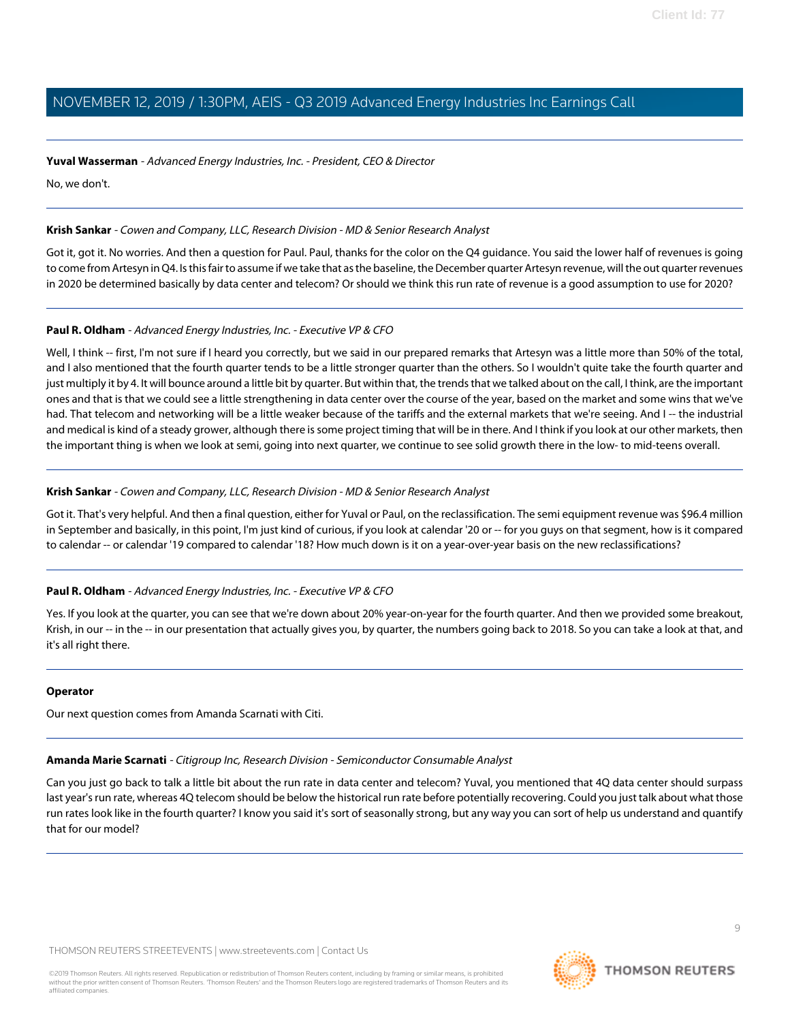### **Yuval Wasserman** - Advanced Energy Industries, Inc. - President, CEO & Director

No, we don't.

### **Krish Sankar** - Cowen and Company, LLC, Research Division - MD & Senior Research Analyst

Got it, got it. No worries. And then a question for Paul. Paul, thanks for the color on the Q4 guidance. You said the lower half of revenues is going to come from Artesyn in Q4. Is this fair to assume if we take that as the baseline, the December quarter Artesyn revenue, will the out quarter revenues in 2020 be determined basically by data center and telecom? Or should we think this run rate of revenue is a good assumption to use for 2020?

### **Paul R. Oldham** - Advanced Energy Industries, Inc. - Executive VP & CFO

Well, I think -- first, I'm not sure if I heard you correctly, but we said in our prepared remarks that Artesyn was a little more than 50% of the total, and I also mentioned that the fourth quarter tends to be a little stronger quarter than the others. So I wouldn't quite take the fourth quarter and just multiply it by 4. It will bounce around a little bit by quarter. But within that, the trends that we talked about on the call, I think, are the important ones and that is that we could see a little strengthening in data center over the course of the year, based on the market and some wins that we've had. That telecom and networking will be a little weaker because of the tariffs and the external markets that we're seeing. And I-- the industrial and medical is kind of a steady grower, although there is some project timing that will be in there. And I think if you look at our other markets, then the important thing is when we look at semi, going into next quarter, we continue to see solid growth there in the low- to mid-teens overall.

### **Krish Sankar** - Cowen and Company, LLC, Research Division - MD & Senior Research Analyst

Got it. That's very helpful. And then a final question, either for Yuval or Paul, on the reclassification. The semi equipment revenue was \$96.4 million in September and basically, in this point, I'm just kind of curious, if you look at calendar '20 or -- for you guys on that segment, how is it compared to calendar -- or calendar '19 compared to calendar '18? How much down is it on a year-over-year basis on the new reclassifications?

### **Paul R. Oldham** - Advanced Energy Industries, Inc. - Executive VP & CFO

Yes. If you look at the quarter, you can see that we're down about 20% year-on-year for the fourth quarter. And then we provided some breakout, Krish, in our -- in the -- in our presentation that actually gives you, by quarter, the numbers going back to 2018. So you can take a look at that, and it's all right there.

### **Operator**

Our next question comes from Amanda Scarnati with Citi.

# **Amanda Marie Scarnati** - Citigroup Inc, Research Division - Semiconductor Consumable Analyst

Can you just go back to talk a little bit about the run rate in data center and telecom? Yuval, you mentioned that 4Q data center should surpass last year's run rate, whereas 4Q telecom should be below the historical run rate before potentially recovering. Could you just talk about what those run rates look like in the fourth quarter? I know you said it's sort of seasonally strong, but any way you can sort of help us understand and quantify that for our model?

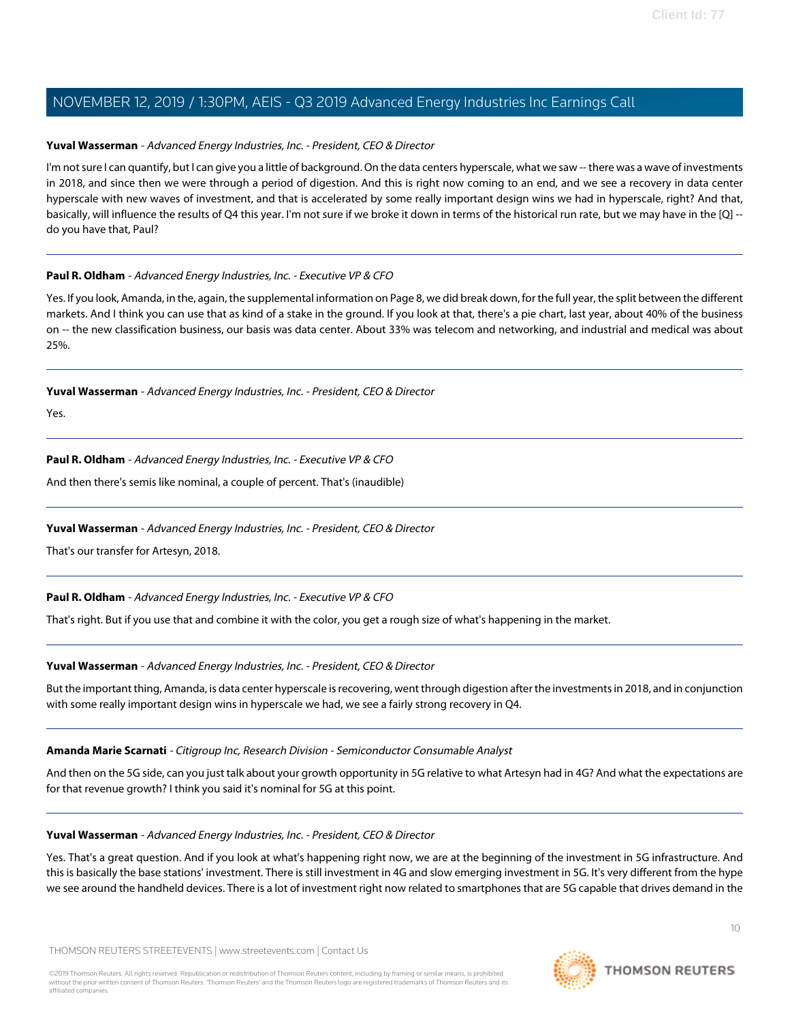### **Yuval Wasserman** - Advanced Energy Industries, Inc. - President, CEO & Director

I'm not sure I can quantify, but I can give you a little of background. On the data centers hyperscale, what we saw -- there was a wave of investments in 2018, and since then we were through a period of digestion. And this is right now coming to an end, and we see a recovery in data center hyperscale with new waves of investment, and that is accelerated by some really important design wins we had in hyperscale, right? And that, basically, will influence the results of Q4 this year. I'm not sure if we broke it down in terms of the historical run rate, but we may have in the [Q] -do you have that, Paul?

### **Paul R. Oldham** - Advanced Energy Industries, Inc. - Executive VP & CFO

Yes. If you look, Amanda, in the, again, the supplemental information on Page 8, we did break down, for the full year, the split between the different markets. And I think you can use that as kind of a stake in the ground. If you look at that, there's a pie chart, last year, about 40% of the business on -- the new classification business, our basis was data center. About 33% was telecom and networking, and industrial and medical was about 25%.

**Yuval Wasserman** - Advanced Energy Industries, Inc. - President, CEO & Director

Yes.

**Paul R. Oldham** - Advanced Energy Industries, Inc. - Executive VP & CFO

And then there's semis like nominal, a couple of percent. That's (inaudible)

### **Yuval Wasserman** - Advanced Energy Industries, Inc. - President, CEO & Director

That's our transfer for Artesyn, 2018.

### **Paul R. Oldham** - Advanced Energy Industries, Inc. - Executive VP & CFO

That's right. But if you use that and combine it with the color, you get a rough size of what's happening in the market.

### **Yuval Wasserman** - Advanced Energy Industries, Inc. - President, CEO & Director

But the important thing, Amanda, is data center hyperscale is recovering, went through digestion after the investments in 2018, and in conjunction with some really important design wins in hyperscale we had, we see a fairly strong recovery in Q4.

### **Amanda Marie Scarnati** - Citigroup Inc, Research Division - Semiconductor Consumable Analyst

And then on the 5G side, can you just talk about your growth opportunity in 5G relative to what Artesyn had in 4G? And what the expectations are for that revenue growth? I think you said it's nominal for 5G at this point.

### **Yuval Wasserman** - Advanced Energy Industries, Inc. - President, CEO & Director

Yes. That's a great question. And if you look at what's happening right now, we are at the beginning of the investment in 5G infrastructure. And this is basically the base stations' investment. There is still investment in 4G and slow emerging investment in 5G. It's very different from the hype we see around the handheld devices. There is a lot of investment right now related to smartphones that are 5G capable that drives demand in the

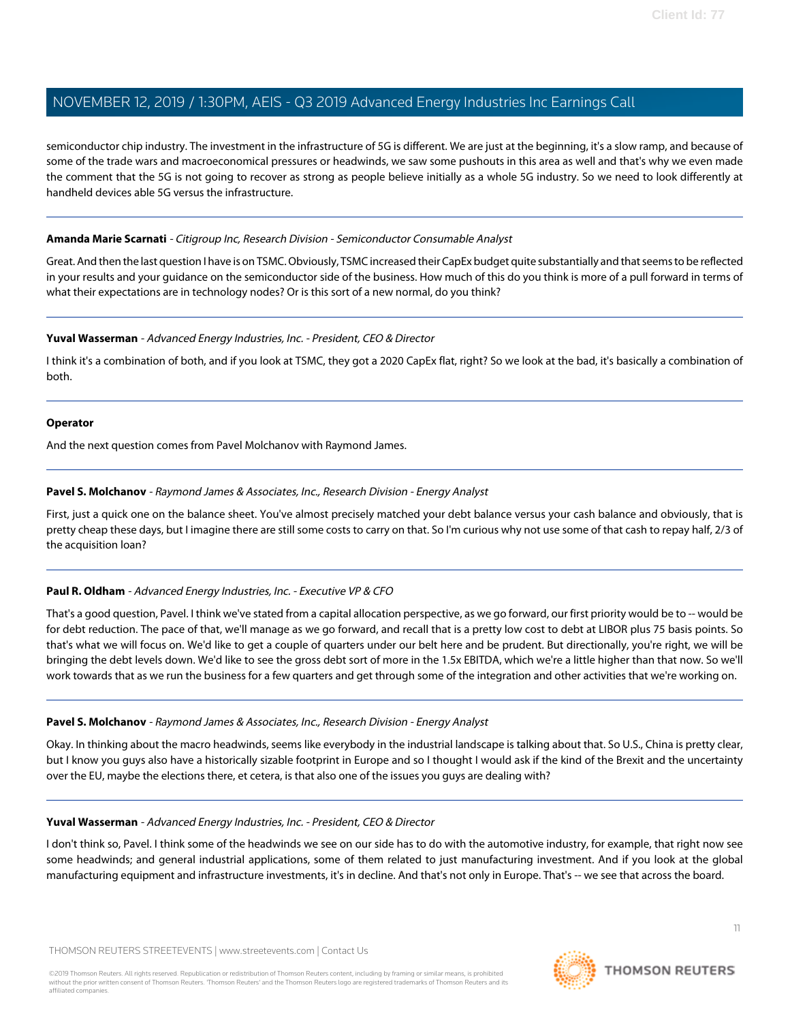semiconductor chip industry. The investment in the infrastructure of 5G is different. We are just at the beginning, it's a slow ramp, and because of some of the trade wars and macroeconomical pressures or headwinds, we saw some pushouts in this area as well and that's why we even made the comment that the 5G is not going to recover as strong as people believe initially as a whole 5G industry. So we need to look differently at handheld devices able 5G versus the infrastructure.

### **Amanda Marie Scarnati** - Citigroup Inc, Research Division - Semiconductor Consumable Analyst

Great. And then the last question I have is on TSMC. Obviously, TSMC increased their CapEx budget quite substantially and that seems to be reflected in your results and your guidance on the semiconductor side of the business. How much of this do you think is more of a pull forward in terms of what their expectations are in technology nodes? Or is this sort of a new normal, do you think?

### **Yuval Wasserman** - Advanced Energy Industries, Inc. - President, CEO & Director

I think it's a combination of both, and if you look at TSMC, they got a 2020 CapEx flat, right? So we look at the bad, it's basically a combination of both.

### **Operator**

And the next question comes from Pavel Molchanov with Raymond James.

### **Pavel S. Molchanov** - Raymond James & Associates, Inc., Research Division - Energy Analyst

First, just a quick one on the balance sheet. You've almost precisely matched your debt balance versus your cash balance and obviously, that is pretty cheap these days, but I imagine there are still some costs to carry on that. So I'm curious why not use some of that cash to repay half, 2/3 of the acquisition loan?

### **Paul R. Oldham** - Advanced Energy Industries, Inc. - Executive VP & CFO

That's a good question, Pavel. I think we've stated from a capital allocation perspective, as we go forward, our first priority would be to -- would be for debt reduction. The pace of that, we'll manage as we go forward, and recall that is a pretty low cost to debt at LIBOR plus 75 basis points. So that's what we will focus on. We'd like to get a couple of quarters under our belt here and be prudent. But directionally, you're right, we will be bringing the debt levels down. We'd like to see the gross debt sort of more in the 1.5x EBITDA, which we're a little higher than that now. So we'll work towards that as we run the business for a few quarters and get through some of the integration and other activities that we're working on.

### **Pavel S. Molchanov** - Raymond James & Associates, Inc., Research Division - Energy Analyst

Okay. In thinking about the macro headwinds, seems like everybody in the industrial landscape is talking about that. So U.S., China is pretty clear, but I know you guys also have a historically sizable footprint in Europe and so I thought I would ask if the kind of the Brexit and the uncertainty over the EU, maybe the elections there, et cetera, is that also one of the issues you guys are dealing with?

### **Yuval Wasserman** - Advanced Energy Industries, Inc. - President, CEO & Director

I don't think so, Pavel. I think some of the headwinds we see on our side has to do with the automotive industry, for example, that right now see some headwinds; and general industrial applications, some of them related to just manufacturing investment. And if you look at the global manufacturing equipment and infrastructure investments, it's in decline. And that's not only in Europe. That's -- we see that across the board.

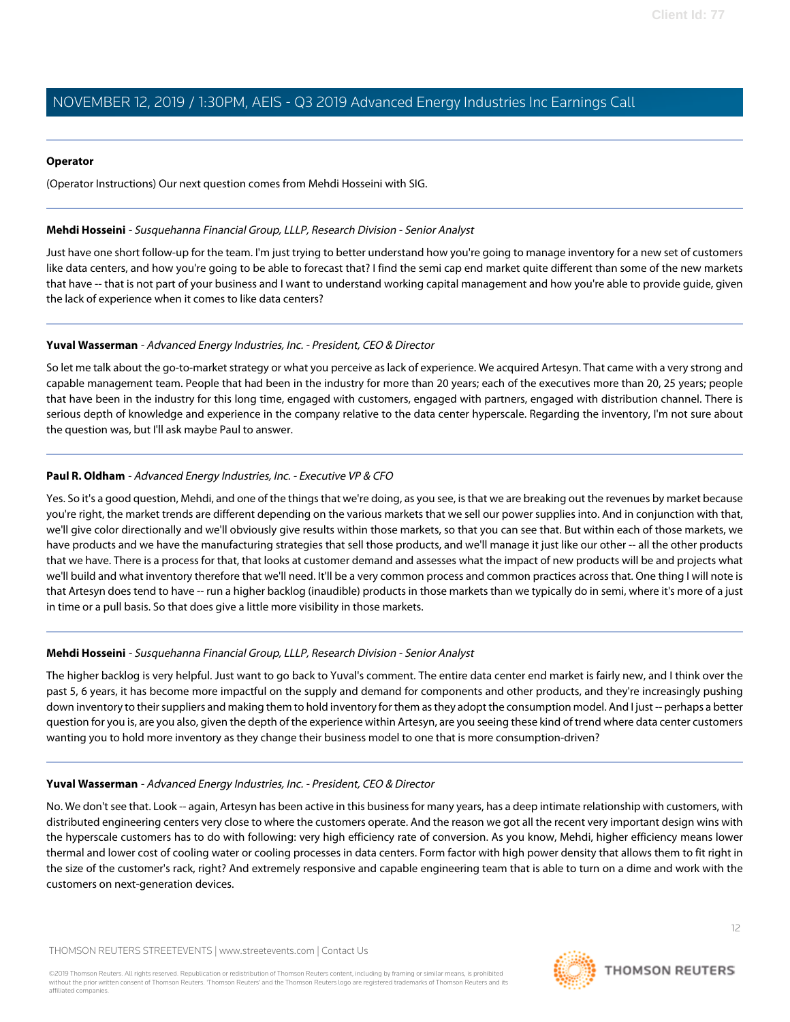#### **Operator**

(Operator Instructions) Our next question comes from Mehdi Hosseini with SIG.

#### **Mehdi Hosseini** - Susquehanna Financial Group, LLLP, Research Division - Senior Analyst

Just have one short follow-up for the team. I'm just trying to better understand how you're going to manage inventory for a new set of customers like data centers, and how you're going to be able to forecast that? I find the semi cap end market quite different than some of the new markets that have -- that is not part of your business and I want to understand working capital management and how you're able to provide guide, given the lack of experience when it comes to like data centers?

### **Yuval Wasserman** - Advanced Energy Industries, Inc. - President, CEO & Director

So let me talk about the go-to-market strategy or what you perceive as lack of experience. We acquired Artesyn. That came with a very strong and capable management team. People that had been in the industry for more than 20 years; each of the executives more than 20, 25 years; people that have been in the industry for this long time, engaged with customers, engaged with partners, engaged with distribution channel. There is serious depth of knowledge and experience in the company relative to the data center hyperscale. Regarding the inventory, I'm not sure about the question was, but I'll ask maybe Paul to answer.

### **Paul R. Oldham** - Advanced Energy Industries, Inc. - Executive VP & CFO

Yes. So it's a good question, Mehdi, and one of the things that we're doing, as you see, is that we are breaking out the revenues by market because you're right, the market trends are different depending on the various markets that we sell our power supplies into. And in conjunction with that, we'll give color directionally and we'll obviously give results within those markets, so that you can see that. But within each of those markets, we have products and we have the manufacturing strategies that sell those products, and we'll manage it just like our other -- all the other products that we have. There is a process for that, that looks at customer demand and assesses what the impact of new products will be and projects what we'll build and what inventory therefore that we'll need. It'll be a very common process and common practices across that. One thing I will note is that Artesyn does tend to have -- run a higher backlog (inaudible) products in those markets than we typically do in semi, where it's more of a just in time or a pull basis. So that does give a little more visibility in those markets.

### **Mehdi Hosseini** - Susquehanna Financial Group, LLLP, Research Division - Senior Analyst

The higher backlog is very helpful. Just want to go back to Yuval's comment. The entire data center end market is fairly new, and I think over the past 5, 6 years, it has become more impactful on the supply and demand for components and other products, and they're increasingly pushing down inventory to their suppliers and making them to hold inventory for them as they adopt the consumption model. And I just -- perhaps a better question for you is, are you also, given the depth of the experience within Artesyn, are you seeing these kind of trend where data center customers wanting you to hold more inventory as they change their business model to one that is more consumption-driven?

### **Yuval Wasserman** - Advanced Energy Industries, Inc. - President, CEO & Director

No. We don't see that. Look -- again, Artesyn has been active in this business for many years, has a deep intimate relationship with customers, with distributed engineering centers very close to where the customers operate. And the reason we got all the recent very important design wins with the hyperscale customers has to do with following: very high efficiency rate of conversion. As you know, Mehdi, higher efficiency means lower thermal and lower cost of cooling water or cooling processes in data centers. Form factor with high power density that allows them to fit right in the size of the customer's rack, right? And extremely responsive and capable engineering team that is able to turn on a dime and work with the customers on next-generation devices.

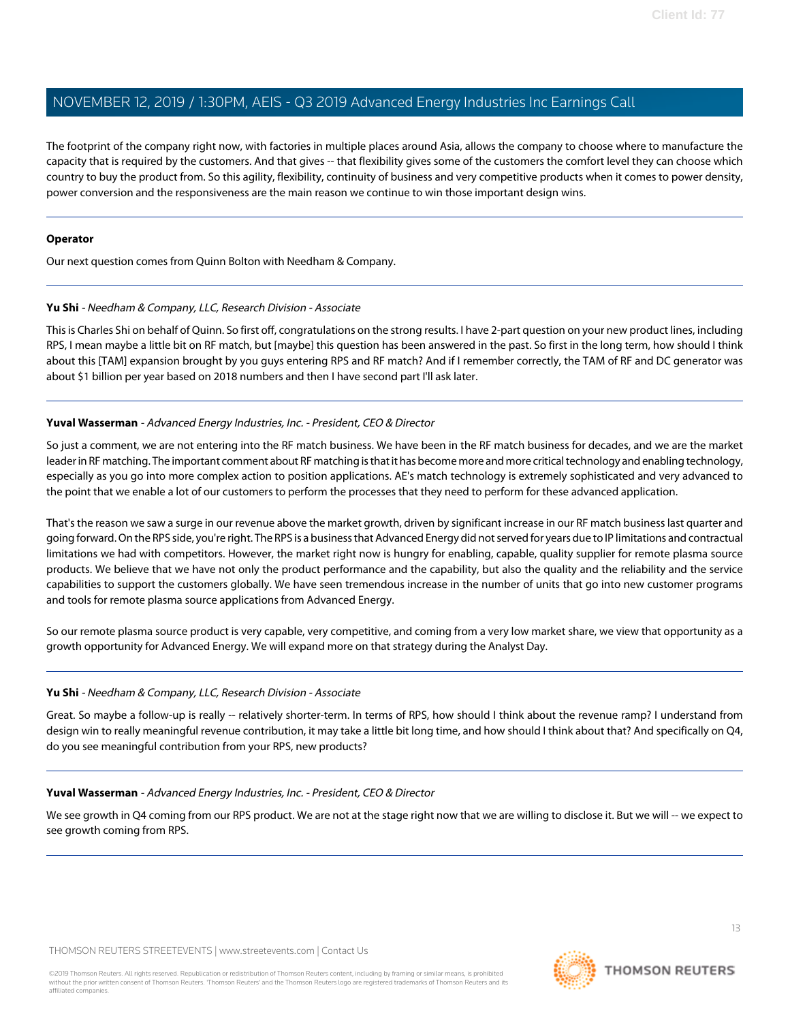The footprint of the company right now, with factories in multiple places around Asia, allows the company to choose where to manufacture the capacity that is required by the customers. And that gives -- that flexibility gives some of the customers the comfort level they can choose which country to buy the product from. So this agility, flexibility, continuity of business and very competitive products when it comes to power density, power conversion and the responsiveness are the main reason we continue to win those important design wins.

### **Operator**

Our next question comes from Quinn Bolton with Needham & Company.

### **Yu Shi** - Needham & Company, LLC, Research Division - Associate

This is Charles Shi on behalf of Quinn. So first off, congratulations on the strong results. I have 2-part question on your new product lines, including RPS, I mean maybe a little bit on RF match, but [maybe] this question has been answered in the past. So first in the long term, how should I think about this [TAM] expansion brought by you guys entering RPS and RF match? And if I remember correctly, the TAM of RF and DC generator was about \$1 billion per year based on 2018 numbers and then I have second part I'll ask later.

### **Yuval Wasserman** - Advanced Energy Industries, Inc. - President, CEO & Director

So just a comment, we are not entering into the RF match business. We have been in the RF match business for decades, and we are the market leader in RF matching. The important comment about RF matching is that it has become more and more critical technology and enabling technology, especially as you go into more complex action to position applications. AE's match technology is extremely sophisticated and very advanced to the point that we enable a lot of our customers to perform the processes that they need to perform for these advanced application.

That's the reason we saw a surge in our revenue above the market growth, driven by significant increase in our RF match business last quarter and going forward. On the RPS side, you're right. The RPS is a business that Advanced Energy did not served for years due to IP limitations and contractual limitations we had with competitors. However, the market right now is hungry for enabling, capable, quality supplier for remote plasma source products. We believe that we have not only the product performance and the capability, but also the quality and the reliability and the service capabilities to support the customers globally. We have seen tremendous increase in the number of units that go into new customer programs and tools for remote plasma source applications from Advanced Energy.

So our remote plasma source product is very capable, very competitive, and coming from a very low market share, we view that opportunity as a growth opportunity for Advanced Energy. We will expand more on that strategy during the Analyst Day.

### **Yu Shi** - Needham & Company, LLC, Research Division - Associate

Great. So maybe a follow-up is really -- relatively shorter-term. In terms of RPS, how should I think about the revenue ramp? I understand from design win to really meaningful revenue contribution, it may take a little bit long time, and how should I think about that? And specifically on Q4, do you see meaningful contribution from your RPS, new products?

### **Yuval Wasserman** - Advanced Energy Industries, Inc. - President, CEO & Director

We see growth in Q4 coming from our RPS product. We are not at the stage right now that we are willing to disclose it. But we will -- we expect to see growth coming from RPS.